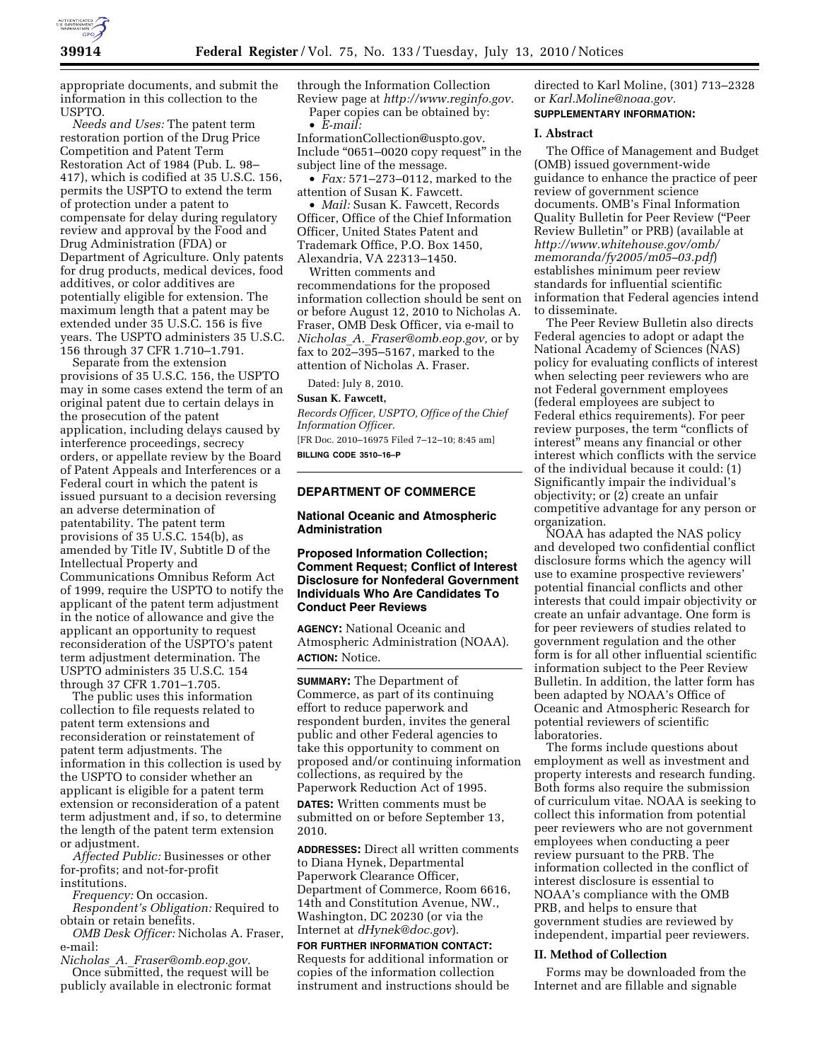

appropriate documents, and submit the information in this collection to the USPTO.

*Needs and Uses:* The patent term restoration portion of the Drug Price Competition and Patent Term Restoration Act of 1984 (Pub. L. 98– 417), which is codified at 35 U.S.C. 156, permits the USPTO to extend the term of protection under a patent to compensate for delay during regulatory review and approval by the Food and Drug Administration (FDA) or Department of Agriculture. Only patents for drug products, medical devices, food additives, or color additives are potentially eligible for extension. The maximum length that a patent may be extended under 35 U.S.C. 156 is five years. The USPTO administers 35 U.S.C. 156 through 37 CFR 1.710–1.791.

Separate from the extension provisions of 35 U.S.C. 156, the USPTO may in some cases extend the term of an original patent due to certain delays in the prosecution of the patent application, including delays caused by interference proceedings, secrecy orders, or appellate review by the Board of Patent Appeals and Interferences or a Federal court in which the patent is issued pursuant to a decision reversing an adverse determination of patentability. The patent term provisions of 35 U.S.C. 154(b), as amended by Title IV, Subtitle D of the Intellectual Property and Communications Omnibus Reform Act of 1999, require the USPTO to notify the applicant of the patent term adjustment in the notice of allowance and give the applicant an opportunity to request reconsideration of the USPTO's patent term adjustment determination. The USPTO administers 35 U.S.C. 154 through 37 CFR 1.701–1.705.

The public uses this information collection to file requests related to patent term extensions and reconsideration or reinstatement of patent term adjustments. The information in this collection is used by the USPTO to consider whether an applicant is eligible for a patent term extension or reconsideration of a patent term adjustment and, if so, to determine the length of the patent term extension or adjustment.

*Affected Public:* Businesses or other for-profits; and not-for-profit institutions.

*Frequency:* On occasion.

*Respondent's Obligation:* Required to obtain or retain benefits.

*OMB Desk Officer:* Nicholas A. Fraser, e-mail:

*Nicholas*\_*A.*\_*Fraser@omb.eop.gov.* 

Once submitted, the request will be publicly available in electronic format through the Information Collection Review page at *http://www.reginfo.gov.*  Paper copies can be obtained by:

• *E-mail:*  InformationCollection@uspto.gov. Include ''0651–0020 copy request'' in the subject line of the message.

• *Fax:* 571–273–0112, marked to the attention of Susan K. Fawcett.

• *Mail:* Susan K. Fawcett, Records Officer, Office of the Chief Information Officer, United States Patent and Trademark Office, P.O. Box 1450, Alexandria, VA 22313–1450.

Written comments and recommendations for the proposed information collection should be sent on or before August 12, 2010 to Nicholas A. Fraser, OMB Desk Officer, via e-mail to *Nicholas*\_*A.*\_*Fraser@omb.eop.gov,* or by fax to 202–395–5167, marked to the

Dated: July 8, 2010.

#### **Susan K. Fawcett,**

*Records Officer, USPTO, Office of the Chief Information Officer.*  [FR Doc. 2010–16975 Filed 7–12–10; 8:45 am]

**BILLING CODE 3510–16–P** 

## **DEPARTMENT OF COMMERCE**

attention of Nicholas A. Fraser.

#### **National Oceanic and Atmospheric Administration**

### **Proposed Information Collection; Comment Request; Conflict of Interest Disclosure for Nonfederal Government Individuals Who Are Candidates To Conduct Peer Reviews**

**AGENCY:** National Oceanic and Atmospheric Administration (NOAA). **ACTION:** Notice.

**SUMMARY:** The Department of Commerce, as part of its continuing effort to reduce paperwork and respondent burden, invites the general public and other Federal agencies to take this opportunity to comment on proposed and/or continuing information collections, as required by the Paperwork Reduction Act of 1995.

**DATES:** Written comments must be submitted on or before September 13, 2010.

**ADDRESSES:** Direct all written comments to Diana Hynek, Departmental Paperwork Clearance Officer, Department of Commerce, Room 6616, 14th and Constitution Avenue, NW., Washington, DC 20230 (or via the Internet at *dHynek@doc.gov*).

### **FOR FURTHER INFORMATION CONTACT:**  Requests for additional information or copies of the information collection instrument and instructions should be

directed to Karl Moline, (301) 713–2328 or *Karl.Moline@noaa.gov.*  **SUPPLEMENTARY INFORMATION:** 

### **I. Abstract**

The Office of Management and Budget (OMB) issued government-wide guidance to enhance the practice of peer review of government science documents. OMB's Final Information Quality Bulletin for Peer Review (''Peer Review Bulletin'' or PRB) (available at *http://www.whitehouse.gov/omb/ memoranda/fy2005/m05–03.pdf*) establishes minimum peer review standards for influential scientific information that Federal agencies intend to disseminate.

The Peer Review Bulletin also directs Federal agencies to adopt or adapt the National Academy of Sciences (NAS) policy for evaluating conflicts of interest when selecting peer reviewers who are not Federal government employees (federal employees are subject to Federal ethics requirements). For peer review purposes, the term ''conflicts of interest'' means any financial or other interest which conflicts with the service of the individual because it could: (1) Significantly impair the individual's objectivity; or (2) create an unfair competitive advantage for any person or organization.

NOAA has adapted the NAS policy and developed two confidential conflict disclosure forms which the agency will use to examine prospective reviewers' potential financial conflicts and other interests that could impair objectivity or create an unfair advantage. One form is for peer reviewers of studies related to government regulation and the other form is for all other influential scientific information subject to the Peer Review Bulletin. In addition, the latter form has been adapted by NOAA's Office of Oceanic and Atmospheric Research for potential reviewers of scientific laboratories.

The forms include questions about employment as well as investment and property interests and research funding. Both forms also require the submission of curriculum vitae. NOAA is seeking to collect this information from potential peer reviewers who are not government employees when conducting a peer review pursuant to the PRB. The information collected in the conflict of interest disclosure is essential to NOAA's compliance with the OMB PRB, and helps to ensure that government studies are reviewed by independent, impartial peer reviewers.

#### **II. Method of Collection**

Forms may be downloaded from the Internet and are fillable and signable